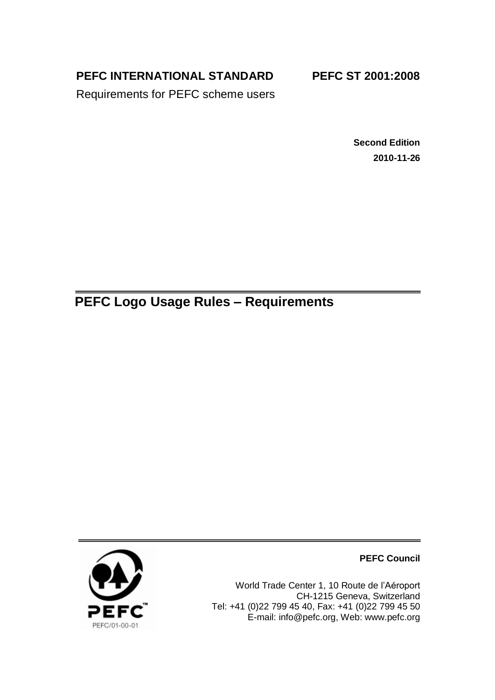**PEFC INTERNATIONAL STANDARD**

**PEFC ST 2001:2008** 

Requirements for PEFC scheme users

**Second Edition 2010-11-26**

**PEFC Logo Usage Rules – Requirements**



**PEFC Council**

World Trade Center 1, 10 Route de l'Aéroport CH-1215 Geneva, Switzerland Tel: +41 (0)22 799 45 40, Fax: +41 (0)22 799 45 50 E-mail: [info@pefc.org,](mailto:info@pefc.org) Web: [www.pefc.org](http://www.pefc.org/)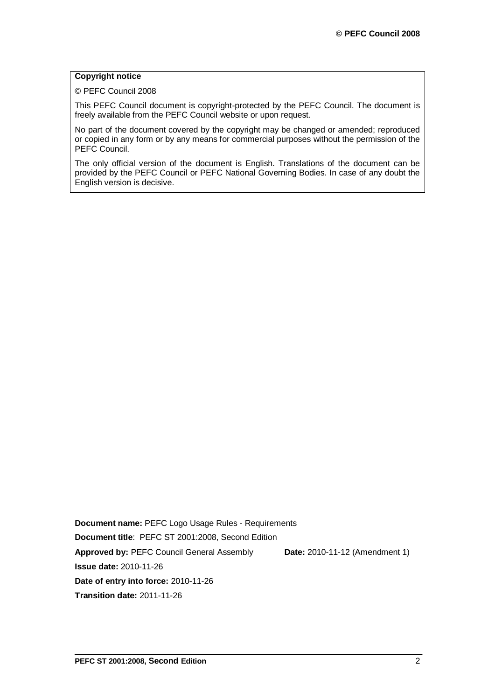#### **Copyright notice**

© PEFC Council 2008

This PEFC Council document is copyright-protected by the PEFC Council. The document is freely available from the PEFC Council website or upon request.

No part of the document covered by the copyright may be changed or amended; reproduced or copied in any form or by any means for commercial purposes without the permission of the PEFC Council.

The only official version of the document is English. Translations of the document can be provided by the PEFC Council or PEFC National Governing Bodies. In case of any doubt the English version is decisive.

**Document name:** PEFC Logo Usage Rules - Requirements **Document title**: PEFC ST 2001:2008, Second Edition **Approved by:** PEFC Council General Assembly **Date:** 2010-11-12 (Amendment 1) **Issue date:** 2010-11-26 **Date of entry into force:** 2010-11-26 **Transition date:** 2011-11-26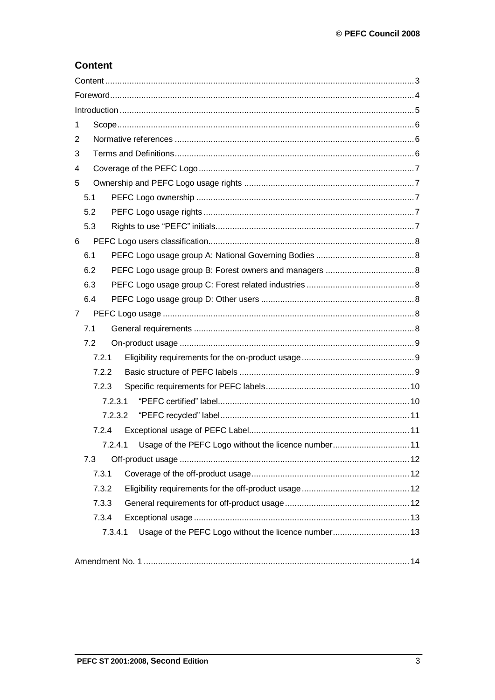# **Content**

| 1              |     |         |                                                      |  |
|----------------|-----|---------|------------------------------------------------------|--|
| 2              |     |         |                                                      |  |
| 3              |     |         |                                                      |  |
| 4              |     |         |                                                      |  |
| 5              |     |         |                                                      |  |
|                | 5.1 |         |                                                      |  |
|                | 5.2 |         |                                                      |  |
|                | 5.3 |         |                                                      |  |
| 6              |     |         |                                                      |  |
|                | 6.1 |         |                                                      |  |
|                | 6.2 |         |                                                      |  |
|                | 6.3 |         |                                                      |  |
|                | 6.4 |         |                                                      |  |
| $\overline{7}$ |     |         |                                                      |  |
|                | 7.1 |         |                                                      |  |
|                | 7.2 |         |                                                      |  |
|                |     | 7.2.1   |                                                      |  |
|                |     | 7.2.2   |                                                      |  |
|                |     | 7.2.3   |                                                      |  |
|                |     | 7.2.3.1 |                                                      |  |
|                |     | 7.2.3.2 |                                                      |  |
|                |     | 7.2.4   |                                                      |  |
|                |     |         |                                                      |  |
|                | 7.3 |         |                                                      |  |
|                |     | 7.3.1   |                                                      |  |
|                |     | 7.3.2   |                                                      |  |
|                |     | 7.3.3   |                                                      |  |
|                |     | 7.3.4   |                                                      |  |
|                |     | 7.3.4.1 | Usage of the PEFC Logo without the licence number 13 |  |
|                |     |         |                                                      |  |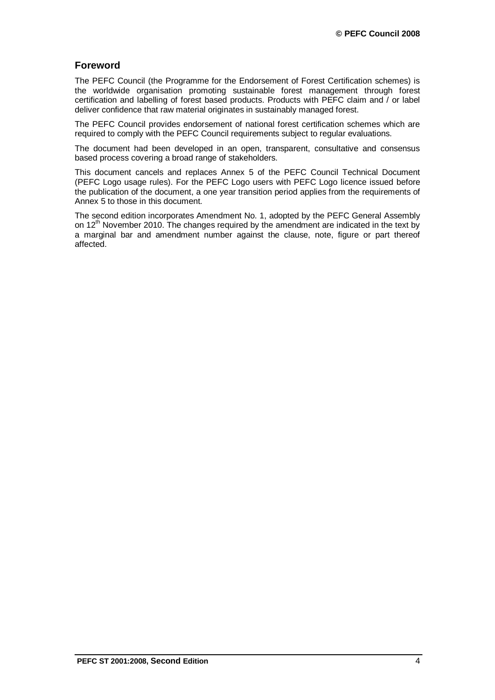# **Foreword**

The PEFC Council (the Programme for the Endorsement of Forest Certification schemes) is the worldwide organisation promoting sustainable forest management through forest certification and labelling of forest based products. Products with PEFC claim and / or label deliver confidence that raw material originates in sustainably managed forest.

The PEFC Council provides endorsement of national forest certification schemes which are required to comply with the PEFC Council requirements subject to regular evaluations.

The document had been developed in an open, transparent, consultative and consensus based process covering a broad range of stakeholders.

This document cancels and replaces Annex 5 of the PEFC Council Technical Document (PEFC Logo usage rules). For the PEFC Logo users with PEFC Logo licence issued before the publication of the document, a one year transition period applies from the requirements of Annex 5 to those in this document.

The second edition incorporates Amendment No. 1, adopted by the PEFC General Assembly on  $12<sup>th</sup>$  November 2010. The changes required by the amendment are indicated in the text by a marginal bar and amendment number against the clause, note, figure or part thereof affected.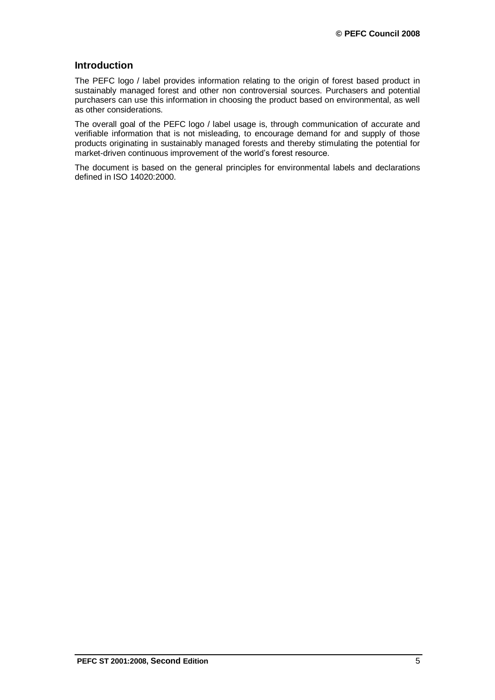## **Introduction**

The PEFC logo / label provides information relating to the origin of forest based product in sustainably managed forest and other non controversial sources. Purchasers and potential purchasers can use this information in choosing the product based on environmental, as well as other considerations.

The overall goal of the PEFC logo / label usage is, through communication of accurate and verifiable information that is not misleading, to encourage demand for and supply of those products originating in sustainably managed forests and thereby stimulating the potential for market-driven continuous improvement of the world's forest resource.

The document is based on the general principles for environmental labels and declarations defined in ISO 14020:2000.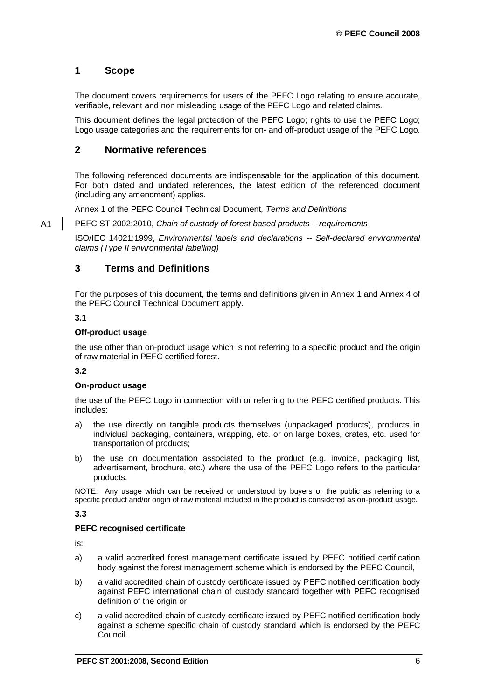# <span id="page-5-0"></span>**1 Scope**

The document covers requirements for users of the PEFC Logo relating to ensure accurate, verifiable, relevant and non misleading usage of the PEFC Logo and related claims.

This document defines the legal protection of the PEFC Logo; rights to use the PEFC Logo; Logo usage categories and the requirements for on- and off-product usage of the PEFC Logo.

## <span id="page-5-1"></span>**2 Normative references**

The following referenced documents are indispensable for the application of this document. For both dated and undated references, the latest edition of the referenced document (including any amendment) applies.

Annex 1 of the PEFC Council Technical Document*, Terms and Definitions*

PEFC ST 2002:2010, *Chain of custody of forest based products – requirements*

ISO/IEC 14021:1999, *Environmental labels and declarations -- Self-declared environmental claims (Type II environmental labelling)*

# <span id="page-5-2"></span>**3 Terms and Definitions**

For the purposes of this document, the terms and definitions given in Annex 1 and Annex 4 of the PEFC Council Technical Document apply.

#### **3.1**

A1

#### **Off-product usage**

the use other than on-product usage which is not referring to a specific product and the origin of raw material in PEFC certified forest.

#### **3.2**

#### **On-product usage**

the use of the PEFC Logo in connection with or referring to the PEFC certified products. This includes:

- a) the use directly on tangible products themselves (unpackaged products), products in individual packaging, containers, wrapping, etc. or on large boxes, crates, etc. used for transportation of products;
- b) the use on documentation associated to the product (e.g. invoice, packaging list, advertisement, brochure, etc.) where the use of the PEFC Logo refers to the particular products.

NOTE: Any usage which can be received or understood by buyers or the public as referring to a specific product and/or origin of raw material included in the product is considered as on-product usage.

#### **3.3**

#### **PEFC recognised certificate**

is:

- a) a valid accredited forest management certificate issued by PEFC notified certification body against the forest management scheme which is endorsed by the PEFC Council,
- b) a valid accredited chain of custody certificate issued by PEFC notified certification body against PEFC international chain of custody standard together with PEFC recognised definition of the origin or
- c) a valid accredited chain of custody certificate issued by PEFC notified certification body against a scheme specific chain of custody standard which is endorsed by the PEFC Council.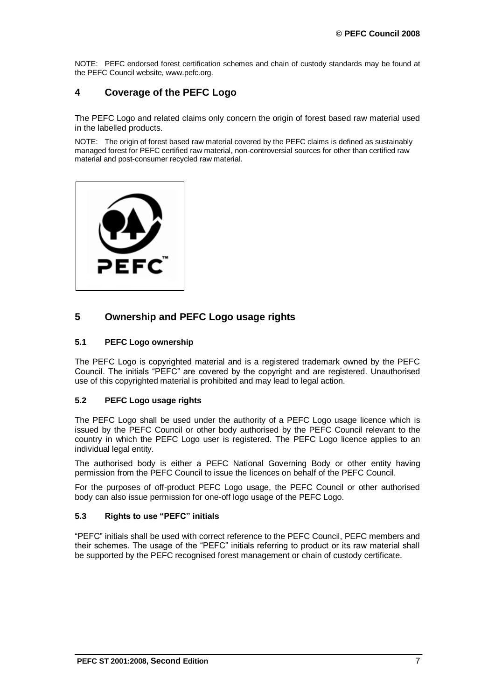NOTE: PEFC endorsed forest certification schemes and chain of custody standards may be found at the PEFC Council website, www.pefc.org.

# <span id="page-6-0"></span>**4 Coverage of the PEFC Logo**

The PEFC Logo and related claims only concern the origin of forest based raw material used in the labelled products.

NOTE: The origin of forest based raw material covered by the PEFC claims is defined as sustainably managed forest for PEFC certified raw material, non-controversial sources for other than certified raw material and post-consumer recycled raw material.



# <span id="page-6-1"></span>**5 Ownership and PEFC Logo usage rights**

#### <span id="page-6-2"></span>**5.1 PEFC Logo ownership**

The PEFC Logo is copyrighted material and is a registered trademark owned by the PEFC Council. The initials "PEFC" are covered by the copyright and are registered. Unauthorised use of this copyrighted material is prohibited and may lead to legal action.

### <span id="page-6-3"></span>**5.2 PEFC Logo usage rights**

The PEFC Logo shall be used under the authority of a PEFC Logo usage licence which is issued by the PEFC Council or other body authorised by the PEFC Council relevant to the country in which the PEFC Logo user is registered. The PEFC Logo licence applies to an individual legal entity.

The authorised body is either a PEFC National Governing Body or other entity having permission from the PEFC Council to issue the licences on behalf of the PEFC Council.

For the purposes of off-product PEFC Logo usage, the PEFC Council or other authorised body can also issue permission for one-off logo usage of the PEFC Logo.

#### <span id="page-6-4"></span>**5.3 Rights to use "PEFC" initials**

"PEFC" initials shall be used with correct reference to the PEFC Council, PEFC members and their schemes. The usage of the "PEFC" initials referring to product or its raw material shall be supported by the PEFC recognised forest management or chain of custody certificate.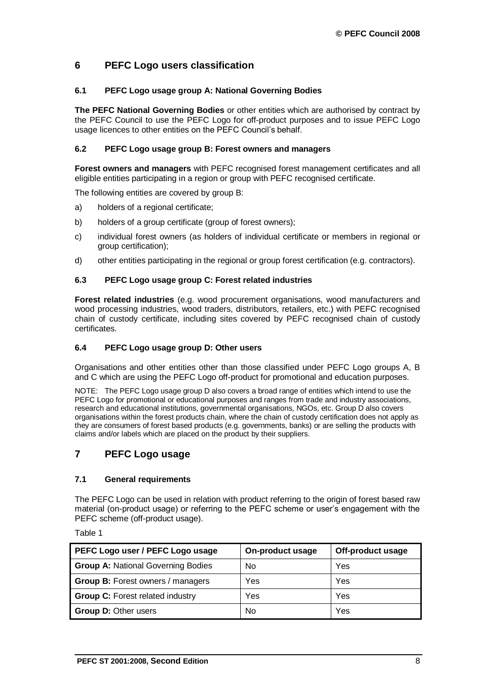# <span id="page-7-0"></span>**6 PEFC Logo users classification**

#### <span id="page-7-1"></span>**6.1 PEFC Logo usage group A: National Governing Bodies**

**The PEFC National Governing Bodies** or other entities which are authorised by contract by the PEFC Council to use the PEFC Logo for off-product purposes and to issue PEFC Logo usage licences to other entities on the PEFC Council's behalf.

#### <span id="page-7-2"></span>**6.2 PEFC Logo usage group B: Forest owners and managers**

**Forest owners and managers** with PEFC recognised forest management certificates and all eligible entities participating in a region or group with PEFC recognised certificate.

The following entities are covered by group B:

- a) holders of a regional certificate;
- b) holders of a group certificate (group of forest owners);
- c) individual forest owners (as holders of individual certificate or members in regional or group certification);
- d) other entities participating in the regional or group forest certification (e.g. contractors).

#### <span id="page-7-3"></span>**6.3 PEFC Logo usage group C: Forest related industries**

**Forest related industries** (e.g. wood procurement organisations, wood manufacturers and wood processing industries, wood traders, distributors, retailers, etc.) with PEFC recognised chain of custody certificate, including sites covered by PEFC recognised chain of custody certificates.

#### <span id="page-7-4"></span>**6.4 PEFC Logo usage group D: Other users**

Organisations and other entities other than those classified under PEFC Logo groups A, B and C which are using the PEFC Logo off-product for promotional and education purposes.

NOTE: The PEFC Logo usage group D also covers a broad range of entities which intend to use the PEFC Logo for promotional or educational purposes and ranges from trade and industry associations, research and educational institutions, governmental organisations, NGOs, etc. Group D also covers organisations within the forest products chain, where the chain of custody certification does not apply as they are consumers of forest based products (e.g. governments, banks) or are selling the products with claims and/or labels which are placed on the product by their suppliers.

# <span id="page-7-5"></span>**7 PEFC Logo usage**

#### <span id="page-7-6"></span>**7.1 General requirements**

The PEFC Logo can be used in relation with product referring to the origin of forest based raw material (on-product usage) or referring to the PEFC scheme or user's engagement with the PEFC scheme (off-product usage).

Table 1

| PEFC Logo user / PEFC Logo usage          | On-product usage | Off-product usage |
|-------------------------------------------|------------------|-------------------|
| <b>Group A: National Governing Bodies</b> | No               | Yes               |
| <b>Group B: Forest owners / managers</b>  | Yes              | Yes               |
| <b>Group C: Forest related industry</b>   | Yes              | Yes               |
| <b>Group D: Other users</b>               | No               | Yes               |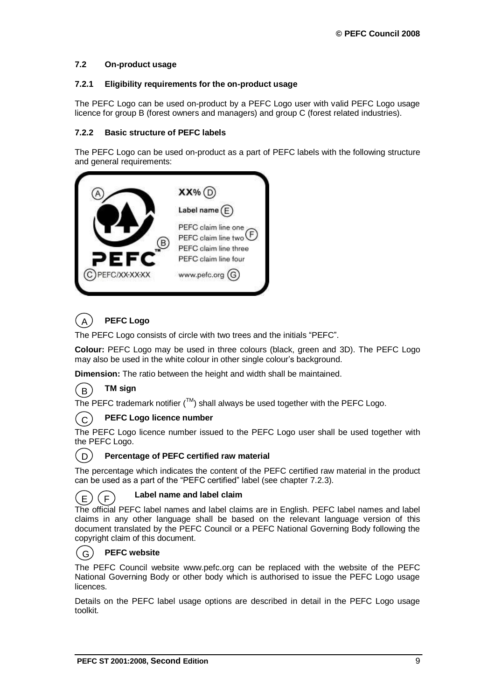### <span id="page-8-0"></span>**7.2 On-product usage**

#### <span id="page-8-1"></span>**7.2.1 Eligibility requirements for the on-product usage**

The PEFC Logo can be used on-product by a PEFC Logo user with valid PEFC Logo usage licence for group B (forest owners and managers) and group C (forest related industries).

#### <span id="page-8-2"></span>**7.2.2 Basic structure of PEFC labels**

The PEFC Logo can be used on-product as a part of PEFC labels with the following structure and general requirements:



#### **PEFC Logo** A

The PEFC Logo consists of circle with two trees and the initials "PEFC".

**Colour:** PEFC Logo may be used in three colours (black, green and 3D). The PEFC Logo may also be used in the white colour in other single colour's background.

**Dimension:** The ratio between the height and width shall be maintained.

#### **TM sign** B

The PEFC trademark notifier ( $TM$ ) shall always be used together with the PEFC Logo.

#### **PEFC Logo licence number** ( C  $\,$

The PEFC Logo licence number issued to the PEFC Logo user shall be used together with the PEFC Logo.



### **Percentage of PEFC certified raw material**

The percentage which indicates the content of the PEFC certified raw material in the product C can be used as a part of the "PEFC certified" label (see chapter 7.2.3).

#### $(E)$  $(F)$

## **Label name and label claim**

The official PEFC label names and label claims are in English. PEFC label names and label claims in any other language shall be based on the relevant language version of this document translated by the PEFC Council or a PEFC National Governing Body following the copyright claim of this document.

#### **PEFC website**  $(G)$

The PEFC Council website www.pefc.org can be replaced with the website of the PEFC National Governing Body or other body which is authorised to issue the PEFC Logo usage licences.

Details on the PEFC label usage options are described in detail in the PEFC Logo usage toolkit.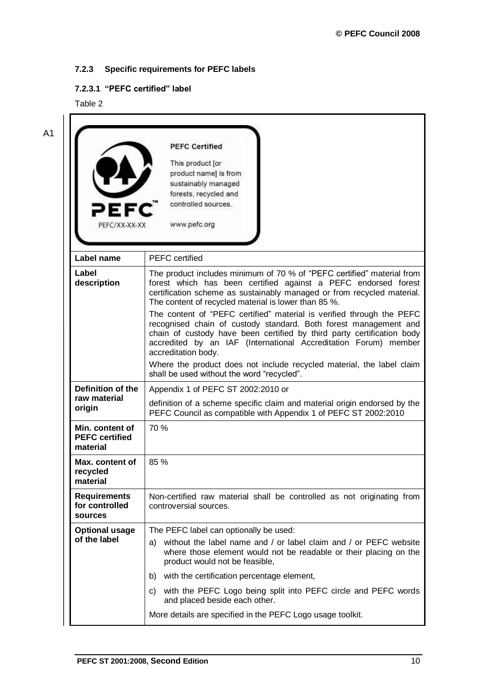# <span id="page-9-0"></span>**7.2.3 Specific requirements for PEFC labels**

# <span id="page-9-1"></span>**7.2.3.1 "PEFC certified" label**

Table 2

| PEF<br>PEFC/XX-XX-XX                                 | <b>PEFC Certified</b><br>This product [or<br>product name] is from<br>sustainably managed<br>forests, recycled and<br>controlled sources.<br>www.pefc.org                                                                                                                                                     |
|------------------------------------------------------|---------------------------------------------------------------------------------------------------------------------------------------------------------------------------------------------------------------------------------------------------------------------------------------------------------------|
| Label name                                           | <b>PEFC</b> certified                                                                                                                                                                                                                                                                                         |
| Label<br>description                                 | The product includes minimum of 70 % of "PEFC certified" material from<br>forest which has been certified against a PEFC endorsed forest<br>certification scheme as sustainably managed or from recycled material.<br>The content of recycled material is lower than 85 %.                                    |
|                                                      | The content of "PEFC certified" material is verified through the PEFC<br>recognised chain of custody standard. Both forest management and<br>chain of custody have been certified by third party certification body<br>accredited by an IAF (International Accreditation Forum) member<br>accreditation body. |
|                                                      | Where the product does not include recycled material, the label claim<br>shall be used without the word "recycled".                                                                                                                                                                                           |
| Definition of the                                    | Appendix 1 of PEFC ST 2002:2010 or                                                                                                                                                                                                                                                                            |
| raw material<br>origin                               | definition of a scheme specific claim and material origin endorsed by the<br>PEFC Council as compatible with Appendix 1 of PEFC ST 2002:2010                                                                                                                                                                  |
| Min. content of<br><b>PEFC</b> certified<br>material | 70 %                                                                                                                                                                                                                                                                                                          |
| Max. content of<br>recycled<br>material              | 85 %                                                                                                                                                                                                                                                                                                          |
| <b>Requirements</b><br>for controlled<br>sources     | Non-certified raw material shall be controlled as not originating from<br>controversial sources.                                                                                                                                                                                                              |
| <b>Optional usage</b>                                | The PEFC label can optionally be used:                                                                                                                                                                                                                                                                        |
| of the label                                         | without the label name and / or label claim and / or PEFC website<br>a)<br>where those element would not be readable or their placing on the<br>product would not be feasible,                                                                                                                                |
|                                                      | with the certification percentage element,<br>b)                                                                                                                                                                                                                                                              |
|                                                      | with the PEFC Logo being split into PEFC circle and PEFC words<br>C)<br>and placed beside each other.                                                                                                                                                                                                         |
|                                                      |                                                                                                                                                                                                                                                                                                               |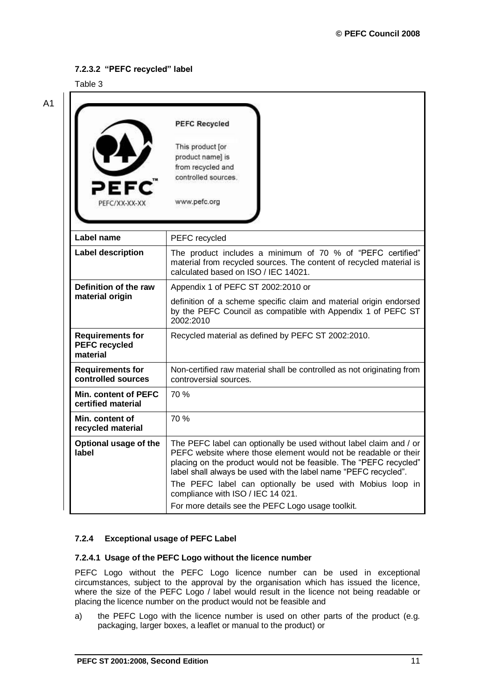### <span id="page-10-0"></span>**7.2.3.2 "PEFC recycled" label**

Table 3

| PEFC<br>PEFC/XX-XX-XX                                       | <b>PEFC Recycled</b><br>This product [or<br>product name] is<br>from recycled and<br>controlled sources.<br>www.pefc.org                                                                                   |
|-------------------------------------------------------------|------------------------------------------------------------------------------------------------------------------------------------------------------------------------------------------------------------|
| Label name                                                  | PEFC recycled                                                                                                                                                                                              |
| <b>Label description</b>                                    | The product includes a minimum of 70 % of "PEFC certified"<br>material from recycled sources. The content of recycled material is<br>calculated based on ISO / IEC 14021.                                  |
| Definition of the raw                                       | Appendix 1 of PEFC ST 2002:2010 or                                                                                                                                                                         |
| material origin                                             | definition of a scheme specific claim and material origin endorsed<br>by the PEFC Council as compatible with Appendix 1 of PEFC ST<br>2002:2010                                                            |
| <b>Requirements for</b><br><b>PEFC recycled</b><br>material | Recycled material as defined by PEFC ST 2002:2010.                                                                                                                                                         |
| <b>Requirements for</b><br>controlled sources               | Non-certified raw material shall be controlled as not originating from<br>controversial sources.                                                                                                           |
| Min. content of PEFC<br>certified material                  | 70 %                                                                                                                                                                                                       |
| Min. content of<br>recycled material                        | 70 %                                                                                                                                                                                                       |
| Optional usage of the<br>label                              | The PEFC label can optionally be used without label claim and / or<br>PEFC website where those element would not be readable or their<br>placing on the product would not be feasible. The "PEFC recycled" |
|                                                             | label shall always be used with the label name "PEFC recycled".<br>The PEFC label can optionally be used with Mobius loop in<br>compliance with ISO / IEC 14 021.                                          |

### <span id="page-10-1"></span>**7.2.4 Exceptional usage of PEFC Label**

#### <span id="page-10-2"></span>**7.2.4.1 Usage of the PEFC Logo without the licence number**

PEFC Logo without the PEFC Logo licence number can be used in exceptional circumstances, subject to the approval by the organisation which has issued the licence, where the size of the PEFC Logo / label would result in the licence not being readable or placing the licence number on the product would not be feasible and

a) the PEFC Logo with the licence number is used on other parts of the product (e.g. packaging, larger boxes, a leaflet or manual to the product) or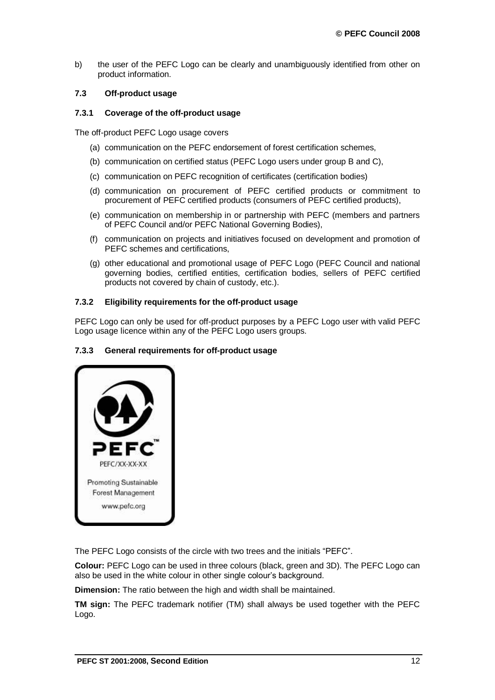b) the user of the PEFC Logo can be clearly and unambiguously identified from other on product information.

#### <span id="page-11-0"></span>**7.3 Off-product usage**

#### <span id="page-11-1"></span>**7.3.1 Coverage of the off-product usage**

The off-product PEFC Logo usage covers

- (a) communication on the PEFC endorsement of forest certification schemes,
- (b) communication on certified status (PEFC Logo users under group B and C),
- (c) communication on PEFC recognition of certificates (certification bodies)
- (d) communication on procurement of PEFC certified products or commitment to procurement of PEFC certified products (consumers of PEFC certified products),
- (e) communication on membership in or partnership with PEFC (members and partners of PEFC Council and/or PEFC National Governing Bodies),
- (f) communication on projects and initiatives focused on development and promotion of PEFC schemes and certifications,
- (g) other educational and promotional usage of PEFC Logo (PEFC Council and national governing bodies, certified entities, certification bodies, sellers of PEFC certified products not covered by chain of custody, etc.).

#### <span id="page-11-2"></span>**7.3.2 Eligibility requirements for the off-product usage**

PEFC Logo can only be used for off-product purposes by a PEFC Logo user with valid PEFC Logo usage licence within any of the PEFC Logo users groups.

#### <span id="page-11-3"></span>**7.3.3 General requirements for off-product usage**

| Ξ                     |
|-----------------------|
| PEFC/XX-XX-XX         |
| Promoting Sustainable |
| Forest Management     |

The PEFC Logo consists of the circle with two trees and the initials "PEFC".

**Colour:** PEFC Logo can be used in three colours (black, green and 3D). The PEFC Logo can also be used in the white colour in other single colour's background.

**Dimension:** The ratio between the high and width shall be maintained.

**TM sign:** The PEFC trademark notifier (TM) shall always be used together with the PEFC Logo.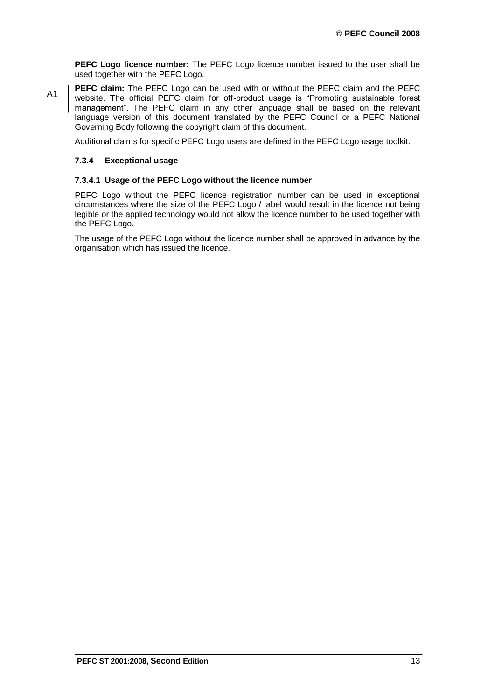**PEFC Logo licence number:** The PEFC Logo licence number issued to the user shall be used together with the PEFC Logo.

**PEFC claim:** The PEFC Logo can be used with or without the PEFC claim and the PEFC website. The official PEFC claim for off-product usage is "Promoting sustainable forest management". The PEFC claim in any other language shall be based on the relevant language version of this document translated by the PEFC Council or a PEFC National Governing Body following the copyright claim of this document. A1

Additional claims for specific PEFC Logo users are defined in the PEFC Logo usage toolkit.

#### <span id="page-12-0"></span>**7.3.4 Exceptional usage**

#### <span id="page-12-1"></span>**7.3.4.1 Usage of the PEFC Logo without the licence number**

PEFC Logo without the PEFC licence registration number can be used in exceptional circumstances where the size of the PEFC Logo / label would result in the licence not being legible or the applied technology would not allow the licence number to be used together with the PEFC Logo.

The usage of the PEFC Logo without the licence number shall be approved in advance by the organisation which has issued the licence.